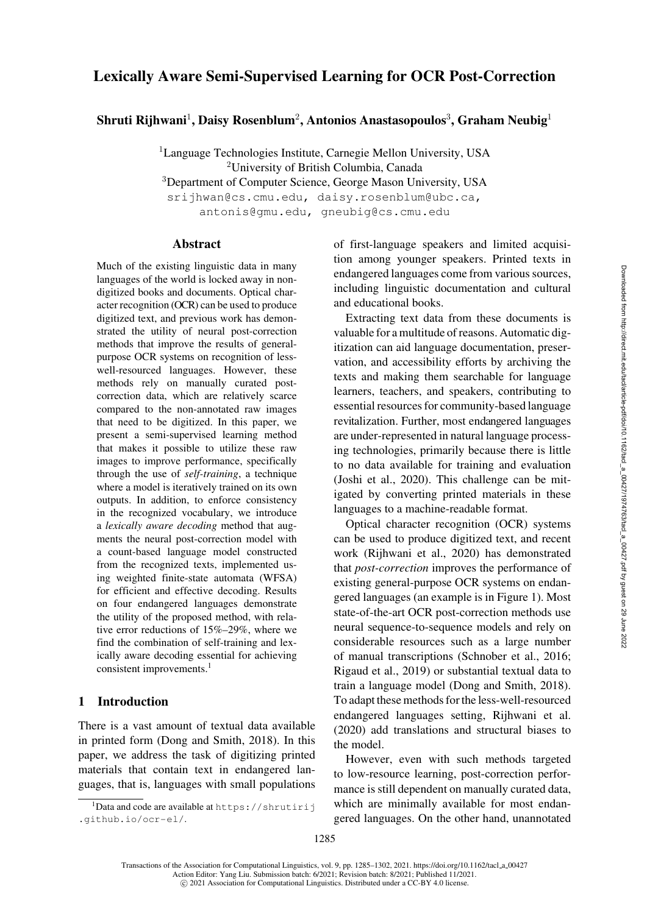# Lexically Aware Semi-Supervised Learning for OCR Post-Correction

Shruti Rijhwani<sup>1</sup>, Daisy Rosenblum<sup>2</sup>, Antonios Anastasopoulos<sup>3</sup>, Graham Neubig<sup>1</sup>

 ${}^{1}$ Language Technologies Institute, Carnegie Mellon University, USA <sup>2</sup>University of British Columbia, Canada

<sup>3</sup>Department of Computer Science, George Mason University, USA

[srijhwan@cs.cmu.edu,](mailto:srijhwan@cs.cmu.edu) [daisy.rosenblum@ubc.ca,](mailto:daisy.rosenblum@ubc.ca) [antonis@gmu.edu,](mailto:antonis@gmu.edu) [gneubig@cs.cmu.edu](mailto:gneubig@cs.cmu.edu)

### Abstract

Much of the existing linguistic data in many languages of the world is locked away in nondigitized books and documents. Optical character recognition (OCR) can be used to produce digitized text, and previous work has demonstrated the utility of neural post-correction methods that improve the results of generalpurpose OCR systems on recognition of lesswell-resourced languages. However, these methods rely on manually curated postcorrection data, which are relatively scarce compared to the non-annotated raw images that need to be digitized. In this paper, we present a semi-supervised learning method that makes it possible to utilize these raw images to improve performance, specifically through the use of *self-training*, a technique where a model is iteratively trained on its own outputs. In addition, to enforce consistency in the recognized vocabulary, we introduce a *lexically aware decoding* method that augments the neural post-correction model with a count-based language model constructed from the recognized texts, implemented using weighted finite-state automata (WFSA) for efficient and effective decoding. Results on four endangered languages demonstrate the utility of the proposed method, with relative error reductions of 15%–29%, where we find the combination of self-training and lexically aware decoding essential for achieving consistent improvements.<sup>1</sup>

## 1 Introduction

There is a vast amount of textual data available in printed form [\(Dong and Smith, 2018](#page-14-0)). In this paper, we address the task of digitizing printed materials that contain text in endangered languages, that is, languages with small populations of first-language speakers and limited acquisition among younger speakers. Printed texts in endangered languages come from various sources, including linguistic documentation and cultural and educational books.

Extracting text data from these documents is valuable for a multitude of reasons. Automatic digitization can aid language documentation, preservation, and accessibility efforts by archiving the texts and making them searchable for language learners, teachers, and speakers, contributing to essential resources for community-based language revitalization. Further, most endangered languages are under-represented in natural language processing technologies, primarily because there is little to no data available for training and evaluation [\(Joshi et al.](#page-15-0), [2020\)](#page-15-0). This challenge can be mitigated by converting printed materials in these languages to a machine-readable format.

Optical character recognition (OCR) systems can be used to produce digitized text, and recent work [\(Rijhwani et al., 2020\)](#page-16-0) has demonstrated that *post-correction* improves the performance of existing general-purpose OCR systems on endangered languages (an example is in [Figure 1\)](#page-1-0). Most state-of-the-art OCR post-correction methods use neural sequence-to-sequence models and rely on considerable resources such as a large number of manual transcriptions [\(Schnober et al., 2016](#page-16-1); [Rigaud et al.](#page-16-2), [2019](#page-16-2)) or substantial textual data to train a language model [\(Dong and Smith, 2018](#page-14-0)). To adapt these methods for the less-well-resourced endangered languages setting, [Rijhwani et al.](#page-16-0) [\(2020\)](#page-16-0) add translations and structural biases to the model.

However, even with such methods targeted to low-resource learning, post-correction performance is still dependent on manually curated data, which are minimally available for most endangered languages. On the other hand, unannotated

<span id="page-0-0"></span><sup>1</sup>Data and code are available at [https://shrutirij](https://shrutirij.github.io/ocr-el/) [.github.io/ocr-el/](https://shrutirij.github.io/ocr-el/).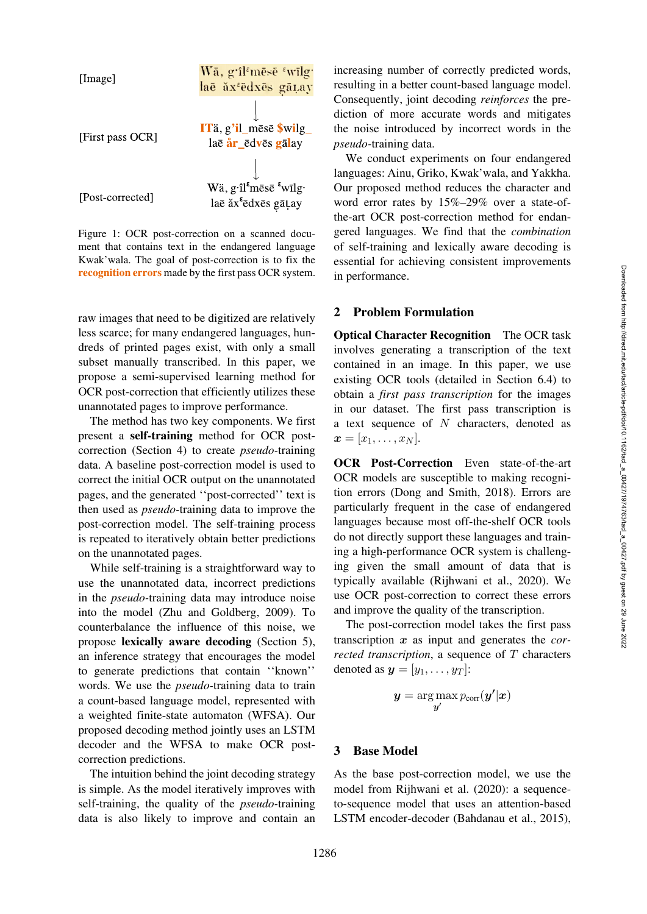

<span id="page-1-0"></span>Figure 1: OCR post-correction on a scanned document that contains text in the endangered language Kwak'wala. The goal of post-correction is to fix the recognition errors made by the first pass OCR system.

raw images that need to be digitized are relatively less scarce; for many endangered languages, hundreds of printed pages exist, with only a small subset manually transcribed. In this paper, we propose a semi-supervised learning method for OCR post-correction that efficiently utilizes these unannotated pages to improve performance.

The method has two key components. We first present a self-training method for OCR postcorrection [\(Section 4\)](#page-2-0) to create *pseudo-*training data. A baseline post-correction model is used to correct the initial OCR output on the unannotated pages, and the generated ''post-corrected'' text is then used as *pseudo-*training data to improve the post-correction model. The self-training process is repeated to iteratively obtain better predictions on the unannotated pages.

While self-training is a straightforward way to use the unannotated data, incorrect predictions in the *pseudo-*training data may introduce noise into the model [\(Zhu and Goldberg](#page-17-0), [2009](#page-17-0)). To counterbalance the influence of this noise, we propose lexically aware decoding [\(Section 5\)](#page-3-0), an inference strategy that encourages the model to generate predictions that contain ''known'' words. We use the *pseudo-*training data to train a count-based language model, represented with a weighted finite-state automaton (WFSA). Our proposed decoding method jointly uses an LSTM decoder and the WFSA to make OCR postcorrection predictions.

The intuition behind the joint decoding strategy is simple. As the model iteratively improves with self-training, the quality of the *pseudo-*training data is also likely to improve and contain an

increasing number of correctly predicted words, resulting in a better count-based language model. Consequently, joint decoding *reinforces* the prediction of more accurate words and mitigates the noise introduced by incorrect words in the *pseudo-*training data.

We conduct experiments on four endangered languages: Ainu, Griko, Kwak'wala, and Yakkha. Our proposed method reduces the character and word error rates by 15%–29% over a state-ofthe-art OCR post-correction method for endangered languages. We find that the *combination* of self-training and lexically aware decoding is essential for achieving consistent improvements in performance.

#### 2 Problem Formulation

Optical Character Recognition The OCR task involves generating a transcription of the text contained in an image. In this paper, we use existing OCR tools (detailed in [Section 6.4\)](#page-8-0) to obtain a *first pass transcription* for the images in our dataset. The first pass transcription is a text sequence of  $N$  characters, denoted as  $x = [x_1, \ldots, x_N].$ 

OCR Post-Correction Even state-of-the-art OCR models are susceptible to making recognition errors [\(Dong and Smith](#page-14-0), [2018\)](#page-14-0). Errors are particularly frequent in the case of endangered languages because most off-the-shelf OCR tools do not directly support these languages and training a high-performance OCR system is challenging given the small amount of data that is typically available [\(Rijhwani et al., 2020\)](#page-16-0). We use OCR post-correction to correct these errors and improve the quality of the transcription.

The post-correction model takes the first pass transcription *x* as input and generates the *corrected transcription*, a sequence of T characters denoted as  $y = [y_1, \ldots, y_T]$ :

$$
\bm{y} = \argmax_{\bm{y}'} p_{\text{corr}}(\bm{y'}|\bm{x})
$$

#### <span id="page-1-1"></span>3 Base Model

As the base post-correction model, we use the model from [Rijhwani et al.](#page-16-0) [\(2020\)](#page-16-0): a sequenceto-sequence model that uses an attention-based LSTM encoder-decoder [\(Bahdanau et al., 2015](#page-13-0)),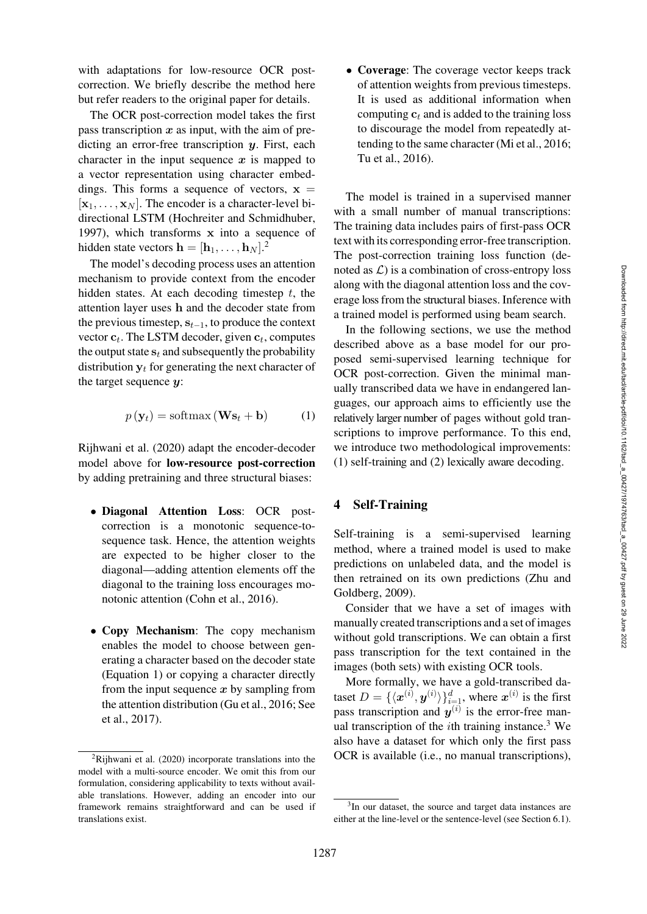with adaptations for low-resource OCR postcorrection. We briefly describe the method here but refer readers to the original paper for details.

The OCR post-correction model takes the first pass transcription *x* as input, with the aim of predicting an error-free transcription *y*. First, each character in the input sequence  $x$  is mapped to a vector representation using character embeddings. This forms a sequence of vectors,  $x =$  $[\mathbf{x}_1,\ldots,\mathbf{x}_N]$ . The encoder is a character-level bidirectional LSTM [\(Hochreiter and Schmidhuber,](#page-14-1) [1997\)](#page-14-1), which transforms **x** into a sequence of hidden state vectors  $\mathbf{h} = [\mathbf{h}_1, \dots, \mathbf{h}_N]^2$  $\mathbf{h} = [\mathbf{h}_1, \dots, \mathbf{h}_N]^2$ 

The model's decoding process uses an attention mechanism to provide context from the encoder hidden states. At each decoding timestep  $t$ , the attention layer uses **h** and the decoder state from the previous timestep, **s**t−1, to produce the context vector  $\mathbf{c}_t$ . The LSTM decoder, given  $\mathbf{c}_t$ , computes the output state  $s_t$  and subsequently the probability distribution  $y_t$  for generating the next character of the target sequence *y*:

$$
p(\mathbf{y}_t) = \text{softmax}(\mathbf{W}\mathbf{s}_t + \mathbf{b}) \tag{1}
$$

[Rijhwani et al.](#page-16-0) [\(2020](#page-16-0)) adapt the encoder-decoder model above for low-resource post-correction by adding pretraining and three structural biases:

- Diagonal Attention Loss: OCR postcorrection is a monotonic sequence-tosequence task. Hence, the attention weights are expected to be higher closer to the diagonal—adding attention elements off the diagonal to the training loss encourages monotonic attention [\(Cohn et al.](#page-14-2), [2016\)](#page-14-2).
- Copy Mechanism: The copy mechanism enables the model to choose between generating a character based on the decoder state (Equation 1) or copying a character directly from the input sequence *x* by sampling from the a[ttention distribution](#page-16-3) [\(Gu et al.](#page-14-3)[,](#page-16-3) [2016](#page-14-3)[;](#page-16-3) See et al., [2017\)](#page-16-3).

• Coverage: The coverage vector keeps track of attention weights from previous timesteps. It is used as additional information when computing  $c_t$  and is added to the training loss to discourage the model from repeatedly attending to the same character [\(Mi et al., 2016](#page-15-1); [Tu et al.](#page-16-4), [2016\)](#page-16-4).

The model is trained in a supervised manner with a small number of manual transcriptions: The training data includes pairs of first-pass OCR text with its corresponding error-free transcription. The post-correction training loss function (denoted as  $\mathcal{L}$ ) is a combination of cross-entropy loss along with the diagonal attention loss and the coverage loss from the structural biases. Inference with a trained model is performed using beam search.

In the following sections, we use the method described above as a base model for our proposed semi-supervised learning technique for OCR post-correction. Given the minimal manually transcribed data we have in endangered languages, our approach aims to efficiently use the relatively larger number of pages without gold transcriptions to improve performance. To this end, we introduce two methodological improvements: (1) self-training and (2) lexically aware decoding.

# <span id="page-2-0"></span>4 Self-Training

Self-training is a semi-supervised learning method, where a trained model is used to make predictions on unlabeled data, and the model is then retr[ained on its own predictions \(](#page-17-0)Zhu and Goldberg, [2009](#page-17-0)).

Consider that we have a set of images with manually created transcriptions and a set of images without gold transcriptions. We can obtain a first pass transcription for the text contained in the images (both sets) with existing OCR tools.

More formally, we have a gold-transcribed dataset  $D = \{ \langle \boldsymbol{x}^{(i)}, \boldsymbol{y}^{(i)} \rangle \}_{i=1}^d$ , where  $\boldsymbol{x}^{(i)}$  is the first pass transcription and  $y^{(i)}$  is the error-free manual transcription of the *i*th training instance.<sup>3</sup> We also have a dataset for which only the first pass OCR is available (i.e., no manual transcriptions),

<span id="page-2-1"></span> $2$ Rijhwani et al. [\(2020](#page-16-0)) incorporate translations into the model with a multi-source encoder. We omit this from our formulation, considering applicability to texts without available translations. However, adding an encoder into our framework remains straightforward and can be used if translations exist.

<span id="page-2-2"></span><sup>&</sup>lt;sup>3</sup>In our dataset, the source and target data instances are either at the line-level or the sentence-level (see [Section 6.1\)](#page-7-0).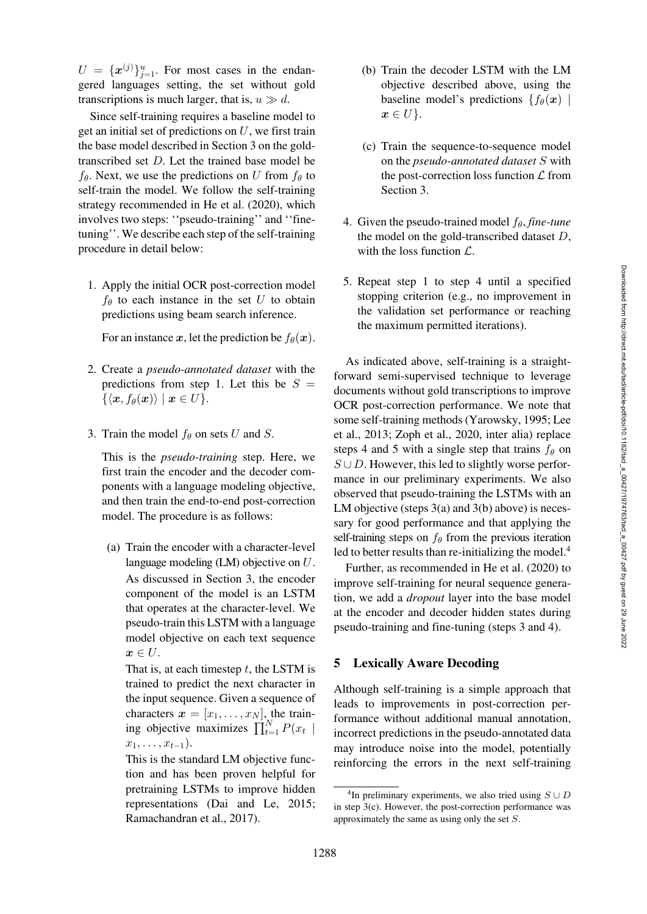$U = \{x^{(j)}\}_{j=1}^u$ . For most cases in the endangered languages setting, the set without gold transcriptions is much larger, that is,  $u \gg d$ .

Since self-training requires a baseline model to get an initial set of predictions on  $U$ , we first train the base model described in [Section 3](#page-1-1) on the goldtranscribed set D. Let the trained base model be  $f_{\theta}$ . Next, we use the predictions on U from  $f_{\theta}$  to self-train the model. We follow the self-training strategy recommended in [He et al.](#page-14-4) [\(2020\)](#page-14-4), which involves two steps: ''pseudo-training'' and ''finetuning''. We describe each step of the self-training procedure in detail below:

1. Apply the initial OCR post-correction model  $f_{\theta}$  to each instance in the set U to obtain predictions using beam search inference.

For an instance *x*, let the prediction be  $f_{\theta}(\mathbf{x})$ .

- 2. Create a *pseudo-annotated dataset* with the predictions from step 1. Let this be  $S =$  $\{\langle x, f_{\theta}(x) \rangle \mid x \in U\}.$
- 3. Train the model  $f_\theta$  on sets U and S.

This is the *pseudo-training* step. Here, we first train the encoder and the decoder components with a language modeling objective, and then train the end-to-end post-correction model. The procedure is as follows:

(a) Train the encoder with a character-level language modeling (LM) objective on U. As discussed in [Section 3,](#page-1-1) the encoder component of the model is an LSTM that operates at the character-level. We pseudo-train this LSTM with a language model objective on each text sequence  $x \in U$ .

That is, at each timestep  $t$ , the LSTM is trained to predict the next character in the input sequence. Given a sequence of characters  $\mathbf{x} = [x_1, \dots, x_N]$ , the training objective maximizes  $\prod_{t=1}^{N} P(x_t)$  $x_1, \ldots, x_{t-1}$ ).

This is the standard LM objective function and has been proven helpful for pretraining LSTMs to improve hidden representations [\(Dai and Le](#page-14-5), [2015](#page-14-5); [Ramachandran et al., 2017](#page-16-5)).

- (b) Train the decoder LSTM with the LM objective described above, using the baseline model's predictions  $\{f_{\theta}(\boldsymbol{x})\}$  $x \in U$ .
- (c) Train the sequence-to-sequence model on the *pseudo-annotated dataset* S with the post-correction loss function  $\mathcal L$  from [Section 3.](#page-1-1)
- 4. Given the pseudo-trained model  $f_{\theta}$ , *fine-tune* the model on the gold-transcribed dataset  $D$ , with the loss function  $\mathcal{L}$ .
- 5. Repeat step 1 to step 4 until a specified stopping criterion (e.g., no improvement in the validation set performance or reaching the maximum permitted iterations).

As indicated above, self-training is a straightforward semi-supervised technique to leverage documents without gold transcriptions to improve OCR post-correction performance. We note that som[e](#page-15-2) [self-training](#page-15-2) [methods](#page-15-2) [\(Yarowsky](#page-16-6)[,](#page-15-2) [1995](#page-16-6)[;](#page-15-2) Lee et al., [2013;](#page-15-2) [Zoph et al., 2020,](#page-17-1) inter alia) replace steps 4 and 5 with a single step that trains  $f_{\theta}$  on  $S \cup D$ . However, this led to slightly worse performance in our preliminary experiments. We also observed that pseudo-training the LSTMs with an LM objective (steps  $3(a)$  and  $3(b)$  above) is necessary for good performance and that applying the self-training steps on  $f_{\theta}$  from the previous iteration led to better results than re-initializing the model.<sup>4</sup>

Further, as recommended in [He et al.](#page-14-4) [\(2020](#page-14-4)) to improve self-training for neural sequence generation, we add a *dropout* layer into the base model at the encoder and decoder hidden states during pseudo-training and fine-tuning (steps 3 and 4).

### <span id="page-3-0"></span>5 Lexically Aware Decoding

Although self-training is a simple approach that leads to improvements in post-correction performance without additional manual annotation, incorrect predictions in the pseudo-annotated data may introduce noise into the model, potentially reinforcing the errors in the next self-training

<span id="page-3-1"></span><sup>&</sup>lt;sup>4</sup>In preliminary experiments, we also tried using  $S \cup D$ in step  $3(c)$ . However, the post-correction performance was approximately the same as using only the set S.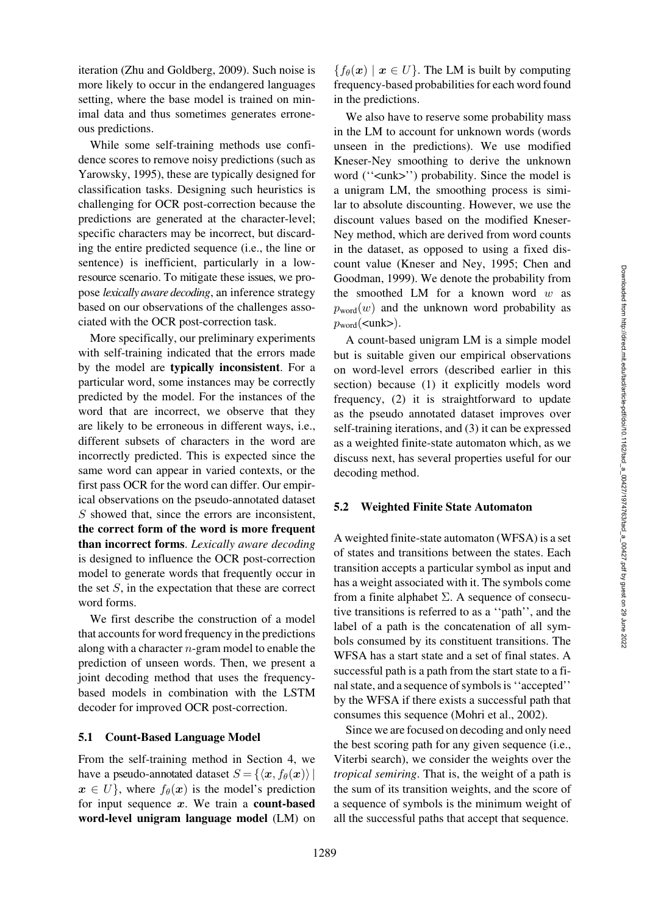iteration [\(Zhu and Goldberg, 2009](#page-17-0)). Such noise is more likely to occur in the endangered languages setting, where the base model is trained on minimal data and thus sometimes generates erroneous predictions.

While some self-training methods use confidence scores to remove noisy predictions (such as [Yarowsky](#page-16-6), [1995\)](#page-16-6), these are typically designed for classification tasks. Designing such heuristics is challenging for OCR post-correction because the predictions are generated at the character-level; specific characters may be incorrect, but discarding the entire predicted sequence (i.e., the line or sentence) is inefficient, particularly in a lowresource scenario. To mitigate these issues, we propose *lexically aware decoding*, an inference strategy based on our observations of the challenges associated with the OCR post-correction task.

More specifically, our preliminary experiments with self-training indicated that the errors made by the model are typically inconsistent. For a particular word, some instances may be correctly predicted by the model. For the instances of the word that are incorrect, we observe that they are likely to be erroneous in different ways, i.e., different subsets of characters in the word are incorrectly predicted. This is expected since the same word can appear in varied contexts, or the first pass OCR for the word can differ. Our empirical observations on the pseudo-annotated dataset S showed that, since the errors are inconsistent, the correct form of the word is more frequent than incorrect forms. *Lexically aware decoding* is designed to influence the OCR post-correction model to generate words that frequently occur in the set  $S$ , in the expectation that these are correct word forms.

We first describe the construction of a model that accounts for word frequency in the predictions along with a character  $n$ -gram model to enable the prediction of unseen words. Then, we present a joint decoding method that uses the frequencybased models in combination with the LSTM decoder for improved OCR post-correction.

#### <span id="page-4-0"></span>5.1 Count-Based Language Model

From the self-training method in [Section 4,](#page-2-0) we have a pseudo-annotated dataset  $S = \{ \langle x, f_{\theta}(x) \rangle \}$  $x \in U$ , where  $f_{\theta}(x)$  is the model's prediction for input sequence *x*. We train a count-based word-level unigram language model (LM) on

 ${f_{\theta}(\boldsymbol{x}) \mid \boldsymbol{x} \in U}$ . The LM is built by computing frequency-based probabilities for each word found in the predictions.

We also have to reserve some probability mass in the LM to account for unknown words (words unseen in the predictions). We use modified Kneser-Ney smoothing to derive the unknown word ("<unk>") probability. Since the model is a unigram LM, the smoothing process is similar to absolute discounting. However, we use the discount values based on the modified Kneser-Ney method, which are derived from word counts in the dataset, as opposed to using a fixed discount val[ue](#page-14-6) [\(Kneser and Ney](#page-15-3)[,](#page-14-6) [1995;](#page-15-3) Chen and Goodman, [1999](#page-14-6)). We denote the probability from the smoothed LM for a known word  $w$  as  $p_{word}(w)$  and the unknown word probability as  $p_{word}$ (<unk>).

A count-based unigram LM is a simple model but is suitable given our empirical observations on word-level errors (described earlier in this section) because (1) it explicitly models word frequency, (2) it is straightforward to update as the pseudo annotated dataset improves over self-training iterations, and (3) it can be expressed as a weighted finite-state automaton which, as we discuss next, has several properties useful for our decoding method.

### 5.2 Weighted Finite State Automaton

A weighted finite-state automaton (WFSA) is a set of states and transitions between the states. Each transition accepts a particular symbol as input and has a weight associated with it. The symbols come from a finite alphabet  $\Sigma$ . A sequence of consecutive transitions is referred to as a ''path'', and the label of a path is the concatenation of all symbols consumed by its constituent transitions. The WFSA has a start state and a set of final states. A successful path is a path from the start state to a final state, and a sequence of symbols is ''accepted'' by the WFSA if there exists a successful path that consumes this sequence [\(Mohri et al.](#page-15-4), [2002\)](#page-15-4).

Since we are focused on decoding and only need the best scoring path for any given sequence (i.e., Viterbi search), we consider the weights over the *tropical semiring*. That is, the weight of a path is the sum of its transition weights, and the score of a sequence of symbols is the minimum weight of all the successful paths that accept that sequence.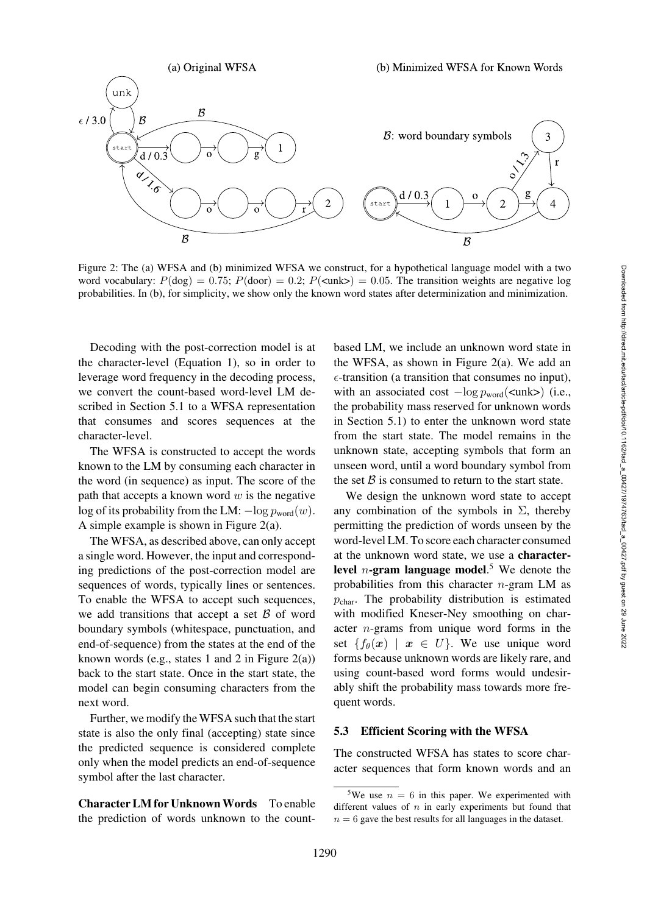

<span id="page-5-0"></span>Figure 2: The (a) WFSA and (b) minimized WFSA we construct, for a hypothetical language model with a two word vocabulary:  $P(\text{dog})=0.75$ ;  $P(\text{door})=0.2$ ;  $P(\text{cunk}>)=0.05$ . The transition weights are negative log probabilities. In (b), for simplicity, we show only the known word states after determinization and minimization.

Decoding with the post-correction model is at the character-level (Equation 1), so in order to leverage word frequency in the decoding process, we convert the count-based word-level LM described in [Section 5.1](#page-4-0) to a WFSA representation that consumes and scores sequences at the character-level.

The WFSA is constructed to accept the words known to the LM by consuming each character in the word (in sequence) as input. The score of the path that accepts a known word  $w$  is the negative log of its probability from the LM:  $-\log p_{word}(w)$ . A simple example is shown in [Figure 2\(a\).](#page-5-0)

The WFSA, as described above, can only accept a single word. However, the input and corresponding predictions of the post-correction model are sequences of words, typically lines or sentences. To enable the WFSA to accept such sequences, we add transitions that accept a set  $\beta$  of word boundary symbols (whitespace, punctuation, and end-of-sequence) from the states at the end of the known words (e.g., states 1 and 2 in Figure  $2(a)$ ) back to the start state. Once in the start state, the model can begin consuming characters from the next word.

Further, we modify the WFSA such that the start state is also the only final (accepting) state since the predicted sequence is considered complete only when the model predicts an end-of-sequence symbol after the last character.

Character LM for UnknownWords To enable the prediction of words unknown to the countbased LM, we include an unknown word state in the WFSA, as shown in [Figure 2\(a\).](#page-5-0) We add an  $\epsilon$ -transition (a transition that consumes no input), with an associated cost  $-\log p_{word}$ (<unk>) (i.e., the probability mass reserved for unknown words in [Section 5.1\)](#page-4-0) to enter the unknown word state from the start state. The model remains in the unknown state, accepting symbols that form an unseen word, until a word boundary symbol from the set  $\beta$  is consumed to return to the start state.

We design the unknown word state to accept any combination of the symbols in  $\Sigma$ , thereby permitting the prediction of words unseen by the word-level LM. To score each character consumed at the unknown word state, we use a characterlevel *n*-gram language model.<sup>[5](#page-5-1)</sup> We denote the probabilities from this character  $n$ -gram LM as  $p<sub>char</sub>$ . The probability distribution is estimated with modified Kneser-Ney smoothing on character n-grams from unique word forms in the set  $\{f_{\theta}(\boldsymbol{x}) \mid \boldsymbol{x} \in U\}$ . We use unique word forms because unknown words are likely rare, and using count-based word forms would undesirably shift the probability mass towards more frequent words.

### 5.3 Efficient Scoring with the WFSA

The constructed WFSA has states to score character sequences that form known words and an

<span id="page-5-1"></span><sup>&</sup>lt;sup>5</sup>We use  $n = 6$  in this paper. We experimented with different values of  $n$  in early experiments but found that  $n = 6$  gave the best results for all languages in the dataset.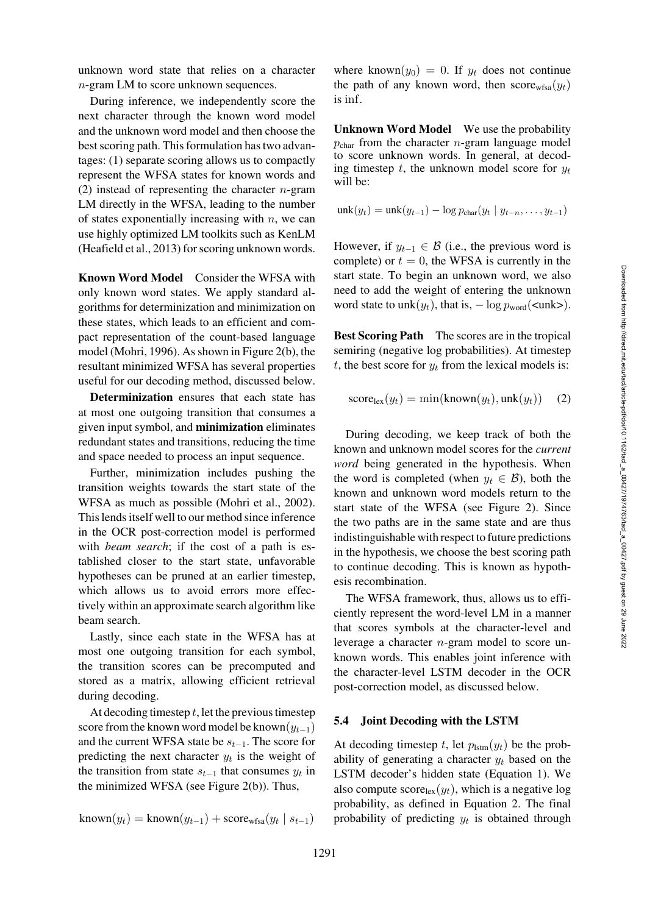unknown word state that relies on a character n-gram LM to score unknown sequences.

During inference, we independently score the next character through the known word model and the unknown word model and then choose the best scoring path. This formulation has two advantages: (1) separate scoring allows us to compactly represent the WFSA states for known words and (2) instead of representing the character  $n$ -gram LM directly in the WFSA, leading to the number of states exponentially increasing with  $n$ , we can use highly optimized LM toolkits such as KenLM [\(Heafield et al.](#page-14-7), [2013\)](#page-14-7) for scoring unknown words.

Known Word Model Consider the WFSA with only known word states. We apply standard algorithms for determinization and minimization on these states, which leads to an efficient and compact representation of the count-based language model [\(Mohri, 1996](#page-15-5)). As shown in [Figure 2\(b\),](#page-5-0) the resultant minimized WFSA has several properties useful for our decoding method, discussed below.

Determinization ensures that each state has at most one outgoing transition that consumes a given input symbol, and minimization eliminates redundant states and transitions, reducing the time and space needed to process an input sequence.

Further, minimization includes pushing the transition weights towards the start state of the WFSA as much as possible [\(Mohri et al., 2002\)](#page-15-4). This lends itself well to our method since inference in the OCR post-correction model is performed with *beam search*; if the cost of a path is established closer to the start state, unfavorable hypotheses can be pruned at an earlier timestep, which allows us to avoid errors more effectively within an approximate search algorithm like beam search.

Lastly, since each state in the WFSA has at most one outgoing transition for each symbol, the transition scores can be precomputed and stored as a matrix, allowing efficient retrieval during decoding.

At decoding timestep  $t$ , let the previous timestep score from the known word model be known $(y_{t-1})$ and the current WFSA state be  $s_{t-1}$ . The score for predicting the next character  $y_t$  is the weight of the transition from state  $s_{t-1}$  that consumes  $y_t$  in the minimized WFSA (see [Figure 2\(b\)\)](#page-5-0). Thus,

$$
known(y_t) = known(y_{t-1}) + score_{wfsa}(y_t | s_{t-1})
$$

where known $(y_0)=0$ . If  $y_t$  does not continue the path of any known word, then  $score_{wfsa}(y_t)$ is inf.

Unknown Word Model We use the probability  $p<sub>char</sub>$  from the character *n*-gram language model to score unknown words. In general, at decoding timestep t, the unknown model score for  $y_t$ will be:

$$
unk(y_t) = unk(y_{t-1}) - log p_{char}(y_t | y_{t-n}, \ldots, y_{t-1})
$$

However, if  $y_{t-1} \in \mathcal{B}$  (i.e., the previous word is complete) or  $t = 0$ , the WFSA is currently in the start state. To begin an unknown word, we also need to add the weight of entering the unknown word state to unk $(y_t)$ , that is,  $-\log p_{word}(\text{}).$ 

Best Scoring Path The scores are in the tropical semiring (negative log probabilities). At timestep t, the best score for  $y_t$  from the lexical models is:

$$
score_{lex}(y_t) = \min(known(y_t),unk(y_t)) \quad (2)
$$

During decoding, we keep track of both the known and unknown model scores for the *current word* being generated in the hypothesis. When the word is completed (when  $y_t \in \mathcal{B}$ ), both the known and unknown word models return to the start state of the WFSA (see [Figure 2\)](#page-5-0). Since the two paths are in the same state and are thus indistinguishable with respect to future predictions in the hypothesis, we choose the best scoring path to continue decoding. This is known as hypothesis recombination.

The WFSA framework, thus, allows us to efficiently represent the word-level LM in a manner that scores symbols at the character-level and leverage a character n-gram model to score unknown words. This enables joint inference with the character-level LSTM decoder in the OCR post-correction model, as discussed below.

#### 5.4 Joint Decoding with the LSTM

At decoding timestep t, let  $p_{\text{lstm}}(y_t)$  be the probability of generating a character  $y_t$  based on the LSTM decoder's hidden state (Equation 1). We also compute score $_{\text{lex}}(y_t)$ , which is a negative log probability, as defined in Equation 2. The final probability of predicting  $y_t$  is obtained through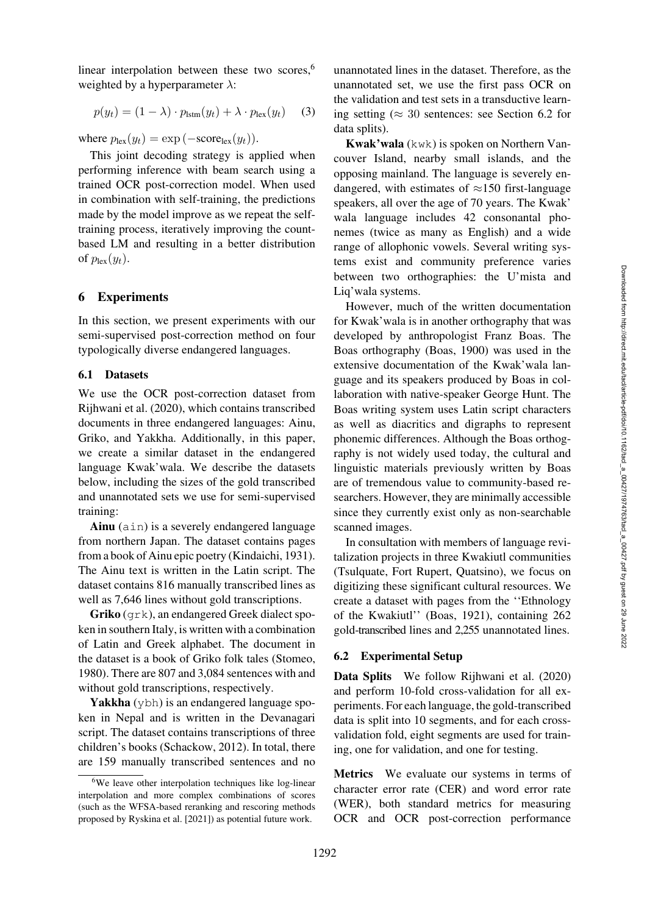linear interpolation between these two scores, $<sup>6</sup>$ </sup> weighted by a hyperparameter  $\lambda$ :

$$
p(y_t) = (1 - \lambda) \cdot p_{\text{Istm}}(y_t) + \lambda \cdot p_{\text{lex}}(y_t) \quad (3)
$$

where  $p_{\text{lex}}(y_t) = \exp(-\text{score}_{\text{lex}}(y_t)).$ 

This joint decoding strategy is applied when performing inference with beam search using a trained OCR post-correction model. When used in combination with self-training, the predictions made by the model improve as we repeat the selftraining process, iteratively improving the countbased LM and resulting in a better distribution of  $p_{\text{lex}}(y_t)$ .

### 6 Experiments

In this section, we present experiments with our semi-supervised post-correction method on four typologically diverse endangered languages.

#### <span id="page-7-0"></span>6.1 Datasets

We use the OCR post-correction dataset from [Rijhwani et al.](#page-16-0) [\(2020](#page-16-0)), which contains transcribed documents in three endangered languages: Ainu, Griko, and Yakkha. Additionally, in this paper, we create a similar dataset in the endangered language Kwak'wala. We describe the datasets below, including the sizes of the gold transcribed and unannotated sets we use for semi-supervised training:

Ainu (ain) is a severely endangered language from northern Japan. The dataset contains pages from a book of Ainu epic poetry [\(Kindaichi](#page-15-6), [1931\)](#page-15-6). The Ainu text is written in the Latin script. The dataset contains 816 manually transcribed lines as well as 7,646 lines without gold transcriptions.

Griko (grk), an endangered Greek dialect spoken in southern Italy, is written with a combination of Latin and Greek alphabet. The document in the dataset is a book of Griko folk tales [\(Stomeo,](#page-16-7) [1980](#page-16-7)). There are 807 and 3,084 sentences with and without gold transcriptions, respectively.

Yakkha (ybh) is an endangered language spoken in Nepal and is written in the Devanagari script. The dataset contains transcriptions of three children's books [\(Schackow, 2012](#page-16-8)). In total, there are 159 manually transcribed sentences and no unannotated lines in the dataset. Therefore, as the unannotated set, we use the first pass OCR on the validation and test sets in a transductive learning setting ( $\approx 30$  sentences: see [Section 6.2](#page-7-2) for data splits).

Kwak'wala (kwk) is spoken on Northern Vancouver Island, nearby small islands, and the opposing mainland. The language is severely endangered, with estimates of  $\approx$ 150 first-language speakers, all over the age of 70 years. The Kwak' wala language includes 42 consonantal phonemes (twice as many as English) and a wide range of allophonic vowels. Several writing systems exist and community preference varies between two orthographies: the U'mista and Liq'wala systems.

However, much of the written documentation for Kwak'wala is in another orthography that was developed by anthropologist Franz Boas. The Boas orthography [\(Boas](#page-14-8), [1900\)](#page-14-8) was used in the extensive documentation of the Kwak'wala language and its speakers produced by Boas in collaboration with native-speaker George Hunt. The Boas writing system uses Latin script characters as well as diacritics and digraphs to represent phonemic differences. Although the Boas orthography is not widely used today, the cultural and linguistic materials previously written by Boas are of tremendous value to community-based researchers. However, they are minimally accessible since they currently exist only as non-searchable scanned images.

In consultation with members of language revitalization projects in three Kwakiutl communities (Tsulquate, Fort Rupert, Quatsino), we focus on digitizing these significant cultural resources. We create a dataset with pages from the ''Ethnology of the Kwakiutl'' [\(Boas, 1921\)](#page-14-9), containing 262 gold-transcribed lines and 2,255 unannotated lines.

#### <span id="page-7-2"></span>6.2 Experimental Setup

Data Splits We follow [Rijhwani et al.](#page-16-0) [\(2020\)](#page-16-0) and perform 10-fold cross-validation for all experiments. For each language, the gold-transcribed data is split into 10 segments, and for each crossvalidation fold, eight segments are used for training, one for validation, and one for testing.

Metrics We evaluate our systems in terms of character error rate (CER) and word error rate (WER), both standard metrics for measuring OCR and OCR post-correction performance

<span id="page-7-1"></span><sup>&</sup>lt;sup>6</sup>We leave other interpolation techniques like log-linear interpolation and more complex combinations of scores (such as the WFSA-based reranking and rescoring methods proposed by [Ryskina et al.](#page-16-9) [\[2021\]](#page-16-9)) as potential future work.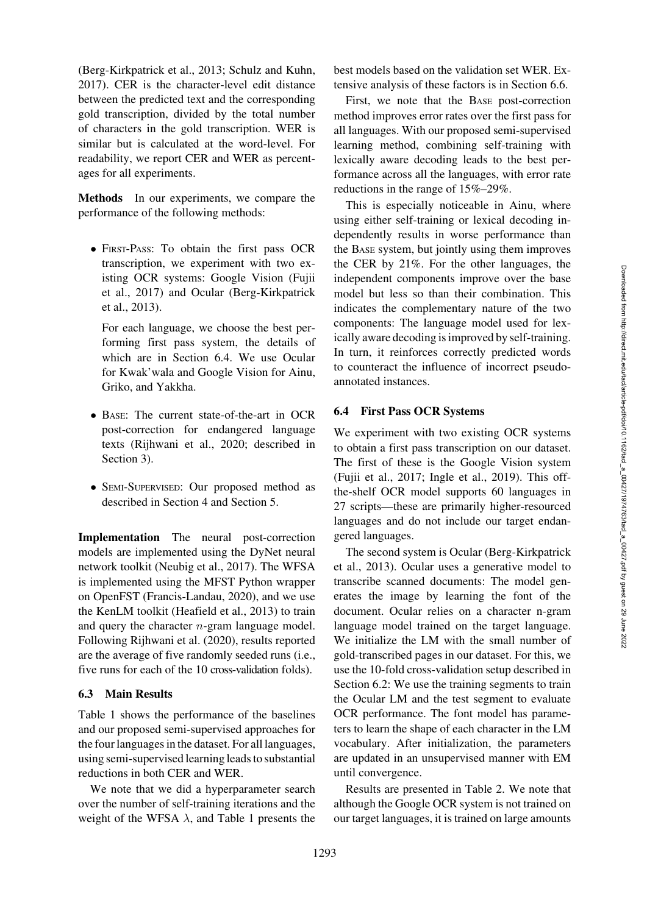[\(Berg-Kirkpatrick et al., 2013](#page-13-1); [Schulz and Kuhn,](#page-16-10) [2017](#page-16-10)). CER is the character-level edit distance between the predicted text and the corresponding gold transcription, divided by the total number of characters in the gold transcription. WER is similar but is calculated at the word-level. For readability, we report CER and WER as percentages for all experiments.

Methods In our experiments, we compare the performance of the following methods:

• FIRST-PASS: To obtain the first pass OCR transcription, we experiment with two existing OCR systems: Google Vision (Fujii et al., [2017\)](#page-14-10) and Ocular (Berg-Kirkpatrick et al., [2013\)](#page-13-1).

For each language, we choose the best performing first pass system, the details of which are in [Section 6.4.](#page-8-0) We use Ocular for Kwak'wala and Google Vision for Ainu, Griko, and Yakkha.

- BASE: The current state-of-the-art in OCR post-correction for endangered language texts [\(Rijhwani et al.](#page-16-0), [2020;](#page-16-0) described in [Section 3\)](#page-1-1).
- SEMI-SUPERVISED: Our proposed method as described in [Section 4](#page-2-0) and [Section 5.](#page-3-0)

Implementation The neural post-correction models are implemented using the DyNet neural network toolkit [\(Neubig et al., 2017](#page-15-7)). The WFSA is implemented using the MFST Python wrapper on OpenFST [\(Francis-Landau](#page-14-11), [2020\)](#page-14-11), and we use the KenLM toolkit [\(Heafield et al.](#page-14-7), [2013\)](#page-14-7) to train and query the character n-gram language model. Following [Rijhwani et al.](#page-16-0) [\(2020\)](#page-16-0), results reported are the average of five randomly seeded runs (i.e., five runs for each of the 10 cross-validation folds).

### 6.3 Main Results

[Table 1](#page-9-0) shows the performance of the baselines and our proposed semi-supervised approaches for the four languages in the dataset. For all languages, using semi-supervised learning leads to substantial reductions in both CER and WER.

We note that we did a hyperparameter search over the number of self-training iterations and the weight of the WFSA  $\lambda$ , and [Table 1](#page-9-0) presents the best models based on the validation set WER. Extensive analysis of these factors is in [Section 6.6.](#page-10-0)

First, we note that the BASE post-correction method improves error rates over the first pass for all languages. With our proposed semi-supervised learning method, combining self-training with lexically aware decoding leads to the best performance across all the languages, with error rate reductions in the range of 15%–29%.

This is especially noticeable in Ainu, where using either self-training or lexical decoding independently results in worse performance than the BASE system, but jointly using them improves the CER by 21%. For the other languages, the independent components improve over the base model but less so than their combination. This indicates the complementary nature of the two components: The language model used for lexically aware decoding is improved by self-training. In turn, it reinforces correctly predicted words to counteract the influence of incorrect pseudoannotated instances.

### <span id="page-8-0"></span>6.4 First Pass OCR Systems

We experiment with two existing OCR systems to obtain a first pass transcription on our dataset. The first of these is the Google Vision system [\(Fujii et al.](#page-14-10), [2017](#page-14-10); [Ingle et al.](#page-15-8), [2019](#page-15-8)). This offthe-shelf OCR model supports 60 languages in 27 scripts—these are primarily higher-resourced languages and do not include our target endangered languages.

T[he second system is Ocular \(](#page-13-1)Berg-Kirkpatrick et al., [2013\)](#page-13-1). Ocular uses a generative model to transcribe scanned documents: The model generates the image by learning the font of the document. Ocular relies on a character n-gram language model trained on the target language. We initialize the LM with the small number of gold-transcribed pages in our dataset. For this, we use the 10-fold cross-validation setup described in [Section 6.2:](#page-7-2) We use the training segments to train the Ocular LM and the test segment to evaluate OCR performance. The font model has parameters to learn the shape of each character in the LM vocabulary. After initialization, the parameters are updated in an unsupervised manner with EM until convergence.

Results are presented in [Table 2.](#page-9-1) We note that although the Google OCR system is not trained on our target languages, it is trained on large amounts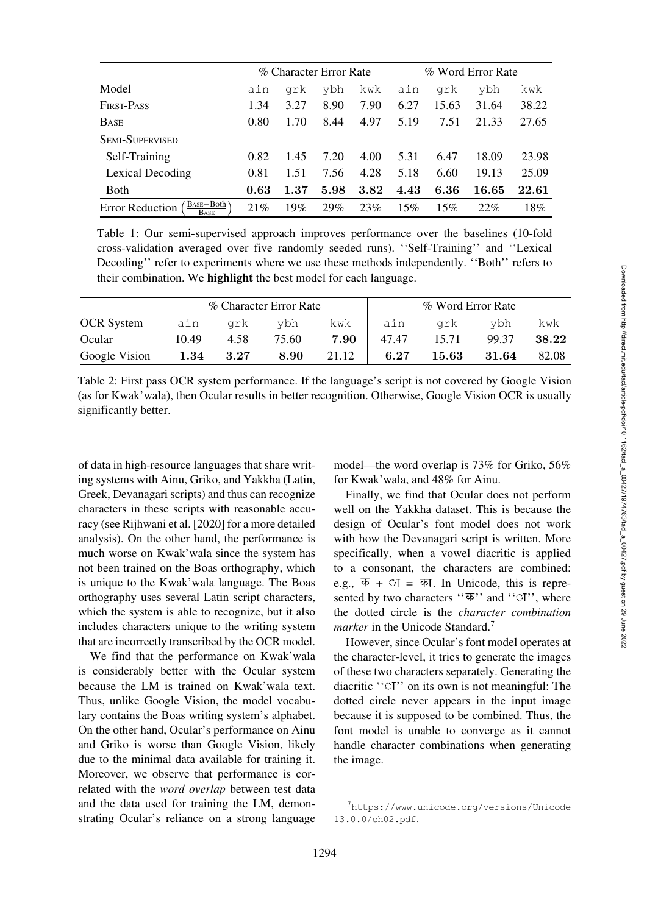|                                                      | % Character Error Rate |      |      |      | % Word Error Rate |       |       |       |
|------------------------------------------------------|------------------------|------|------|------|-------------------|-------|-------|-------|
| Model                                                | ain                    | grk  | ybh  | kwk  | ain               | grk   | ybh   | kwk   |
| First-Pass                                           | 1.34                   | 3.27 | 8.90 | 7.90 | 6.27              | 15.63 | 31.64 | 38.22 |
| <b>BASE</b>                                          | 0.80                   | 1.70 | 8.44 | 4.97 | 5.19              | 7.51  | 21.33 | 27.65 |
| <b>SEMI-SUPERVISED</b>                               |                        |      |      |      |                   |       |       |       |
| Self-Training                                        | 0.82                   | 1.45 | 7.20 | 4.00 | 5.31              | 6.47  | 18.09 | 23.98 |
| Lexical Decoding                                     | 0.81                   | 1.51 | 7.56 | 4.28 | 5.18              | 6.60  | 19.13 | 25.09 |
| <b>B</b> oth                                         | 0.63                   | 1.37 | 5.98 | 3.82 | 4.43              | 6.36  | 16.65 | 22.61 |
| $BASE-Both$<br><b>Error Reduction</b><br><b>BASE</b> | 21%                    | 19%  | 29%  | 23%  | 15%               | 15%   | 22%   | 18%   |

<span id="page-9-0"></span>Table 1: Our semi-supervised approach improves performance over the baselines (10-fold cross-validation averaged over five randomly seeded runs). ''Self-Training'' and ''Lexical Decoding'' refer to experiments where we use these methods independently. ''Both'' refers to their combination. We highlight the best model for each language.

|                   | % Character Error Rate |      |       |       | % Word Error Rate |       |       |       |
|-------------------|------------------------|------|-------|-------|-------------------|-------|-------|-------|
| <b>OCR</b> System | ain                    | ark  | vbh   | kwk   | ain               | ark   | vbh   | kwk   |
| Ocular            | 10.49                  | 4.58 | 75.60 | 7.90  | 47.47             | 15.71 | 99.37 | 38.22 |
| Google Vision     | $1.34\,$               | 3.27 | 8.90  | 21.12 | 6.27              | 15.63 | 31.64 | 82.08 |

<span id="page-9-1"></span>Table 2: First pass OCR system performance. If the language's script is not covered by Google Vision (as for Kwak'wala), then Ocular results in better recognition. Otherwise, Google Vision OCR is usually significantly better.

of data in high-resource languages that share writing systems with Ainu, Griko, and Yakkha (Latin, Greek, Devanagari scripts) and thus can recognize characters in these scripts with reasonable accuracy (see [Rijhwani et al.](#page-16-0) [\[2020](#page-16-0)] for a more detailed analysis). On the other hand, the performance is much worse on Kwak'wala since the system has not been trained on the Boas orthography, which is unique to the Kwak'wala language. The Boas orthography uses several Latin script characters, which the system is able to recognize, but it also includes characters unique to the writing system that are incorrectly transcribed by the OCR model.

We find that the performance on Kwak'wala is considerably better with the Ocular system because the LM is trained on Kwak'wala text. Thus, unlike Google Vision, the model vocabulary contains the Boas writing system's alphabet. On the other hand, Ocular's performance on Ainu and Griko is worse than Google Vision, likely due to the minimal data available for training it. Moreover, we observe that performance is correlated with the *word overlap* between test data and the data used for training the LM, demonstrating Ocular's reliance on a strong language

model—the word overlap is 73% for Griko, 56% for Kwak'wala, and 48% for Ainu.

Finally, we find that Ocular does not perform well on the Yakkha dataset. This is because the design of Ocular's font model does not work with how the Devanagari script is written. More specifically, when a vowel diacritic is applied to a consonant, the characters are combined: e.g.,  $\overline{\Phi} + \overline{\Phi} = \overline{\Phi}$ . In Unicode, this is represented by two characters " $\overline{\Phi}$ " and " $\overline{\Phi}$ ", where the dotted circle is the *character combination marker* in the Unicode Standard.<sup>7</sup>

However, since Ocular's font model operates at the character-level, it tries to generate the images of these two characters separately. Generating the diacritic  $"$  ' $\vee$  ' $'$ " on its own is not meaningful: The dotted circle never appears in the input image because it is supposed to be combined. Thus, the font model is unable to converge as it cannot handle character combinations when generating the image.

<span id="page-9-2"></span><sup>7</sup>[https://www.unicode.org/versions/Unicode](https://www.unicode.org/versions/Unicode13.0.0/ch02.pdf) [13.0.0/ch02.pdf](https://www.unicode.org/versions/Unicode13.0.0/ch02.pdf).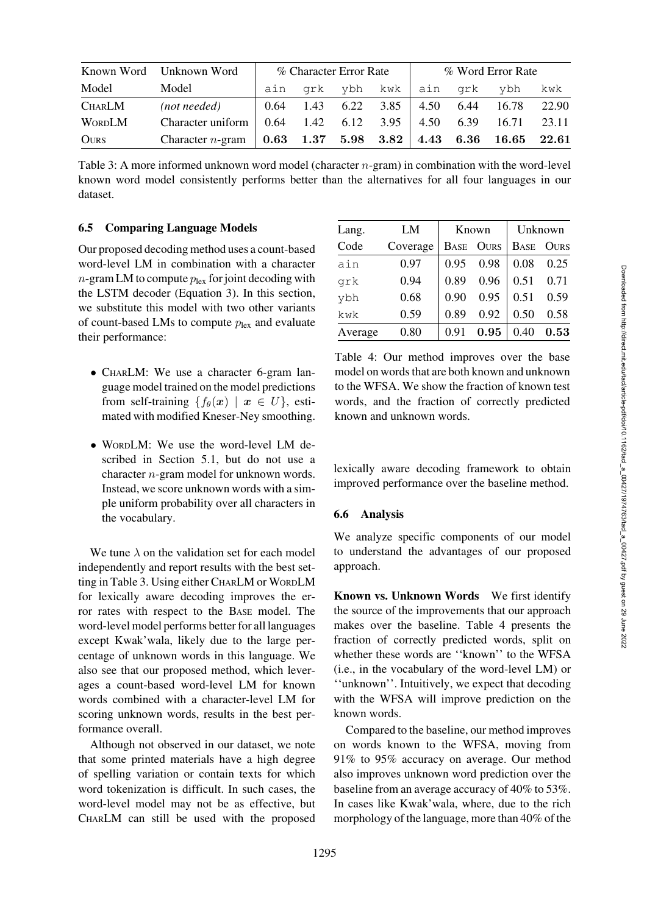| wn           |  |
|--------------|--|
| <b>J</b> urs |  |
| 0.25         |  |
| , 71         |  |
| 0.59         |  |
| 0.58         |  |
| .53          |  |
|              |  |
| base         |  |
| own          |  |
| test<br>cted |  |
|              |  |
|              |  |
|              |  |
|              |  |
| otain        |  |
| .<br>10d     |  |
|              |  |
|              |  |
|              |  |

Downloaded from http://direct.mit.edu/tacl/article-pdf/doi/10.1162/tacl\_a\_00427/1974763/tacl\_a\_00427.pdf by guest on 29 June 2022 Downloaded from http://direct.mit.edu/tacl/article-pdf/doi/10.1162/tacl\_a\_00427/1974763/tacl\_a\_00427.pdf by guest on 29 June 2022

|               | Known Word Unknown Word                                                                 | % Character Error Rate |  |                       |  | % Word Error Rate |           |             |                      |
|---------------|-----------------------------------------------------------------------------------------|------------------------|--|-----------------------|--|-------------------|-----------|-------------|----------------------|
| Model         | Model                                                                                   | ain                    |  | qrk ybh kwk           |  |                   | ain grk   | vbh         | kwk                  |
| <b>CHARLM</b> | (not needed)                                                                            |                        |  | $0.64$ 1.43 6.22 3.85 |  | 4.50              |           | 6.44 16.78  | 22.90                |
| <b>WORDLM</b> | Character uniform $\begin{array}{ l} 0.64 \quad 1.42 \quad 6.12 \quad 3.95 \end{array}$ |                        |  |                       |  | 4.50              | 6.39      | 16.71       | 23.11                |
| <b>OURS</b>   | Character <i>n</i> -gram   $0.63$ 1.37 5.98 3.82                                        |                        |  |                       |  | $\mid 4.43 \mid$  | $\bf6.36$ | $\bf 16.65$ | $\boldsymbol{22.61}$ |

<span id="page-10-1"></span>Table 3: A more informed unknown word model (character  $n$ -gram) in combination with the word-level known word model consistently performs better than the alternatives for all four languages in our dataset.

# 6.5 Comparing Language Models

Our proposed decoding method uses a count-based word-level LM in combination with a character  $n$ -gram LM to compute  $p_{\text{lex}}$  for joint decoding with the LSTM decoder (Equation 3). In this section, we substitute this model with two other variants of count-based LMs to compute  $p_{\text{lex}}$  and evaluate their performance:

- CHARLM: We use a character 6-gram language model trained on the model predictions from self-training  $\{f_{\theta}(\boldsymbol{x}) \mid \boldsymbol{x} \in U\}$ , estimated with modified Kneser-Ney smoothing.
- WORDLM: We use the word-level LM described in [Section 5.1,](#page-4-0) but do not use a character n-gram model for unknown words. Instead, we score unknown words with a simple uniform probability over all characters in the vocabulary.

We tune  $\lambda$  on the validation set for each model independently and report results with the best setting in [Table 3.](#page-10-1) Using either CHARLM or WORDLM for lexically aware decoding improves the error rates with respect to the BASE model. The word-level model performs better for all languages except Kwak'wala, likely due to the large percentage of unknown words in this language. We also see that our proposed method, which leverages a count-based word-level LM for known words combined with a character-level LM for scoring unknown words, results in the best performance overall.

Although not observed in our dataset, we note that some printed materials have a high degree of spelling variation or contain texts for which word tokenization is difficult. In such cases, the word-level model may not be as effective, but CHARLM can still be used with the proposed

| Code<br>Coverage<br><b>OURS</b><br>BASE<br><b>BASE</b><br>0.97<br>0.98<br>0.08<br>0.95<br>ain<br>0.94<br>0.96<br>0.89<br>0.71<br>0.51<br>grk<br>0.95<br>0.68<br>0.90<br>0.51<br>ybh<br>0.59<br>0.92<br>0.89<br>0.50<br>kwk | Lang.   | LM   | Known |      |      | Unknown     |
|----------------------------------------------------------------------------------------------------------------------------------------------------------------------------------------------------------------------------|---------|------|-------|------|------|-------------|
|                                                                                                                                                                                                                            |         |      |       |      |      | <b>OURS</b> |
|                                                                                                                                                                                                                            |         |      |       |      |      | 0.25        |
|                                                                                                                                                                                                                            |         |      |       |      |      |             |
|                                                                                                                                                                                                                            |         |      |       |      |      | 0.59        |
|                                                                                                                                                                                                                            |         |      |       |      |      | 0.58        |
|                                                                                                                                                                                                                            | Average | 0.80 | 0.91  | 0.95 | 0.40 | 0.53        |

<span id="page-10-2"></span>Table 4: Our method improves over the base model on words that are both known and unknown to the WFSA. We show the fraction of known words, and the fraction of correctly prediknown and unknown words.

lexically aware decoding framework to ob improved performance over the baseline method.

# <span id="page-10-0"></span>6.6 Analysis

We analyze specific components of our model to understand the advantages of our proposed approach.

Known vs. Unknown Words We first identify the source of the improvements that our approach makes over the baseline. [Table 4](#page-10-2) presents the fraction of correctly predicted words, split on whether these words are ''known'' to the WFSA (i.e., in the vocabulary of the word-level LM) or ''unknown''. Intuitively, we expect that decoding with the WFSA will improve prediction on the known words.

Compared to the baseline, our method improves on words known to the WFSA, moving from 91% to 95% accuracy on average. Our method also improves unknown word prediction over the baseline from an average accuracy of 40% to 53%. In cases like Kwak'wala, where, due to the rich morphology of the language, more than 40% of the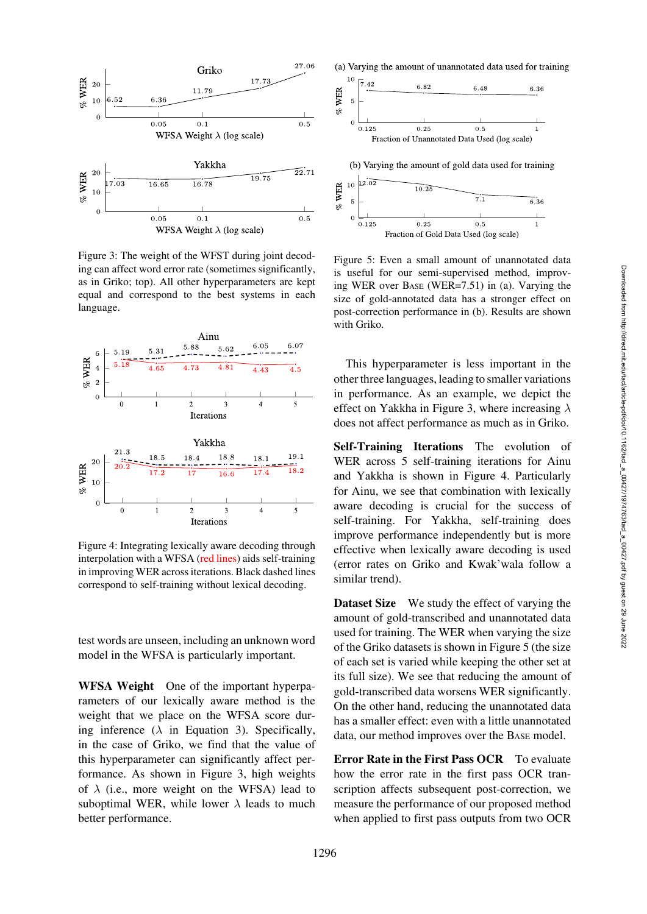

<span id="page-11-0"></span>Figure 3: The weight of the WFST during joint decoding can affect word error rate (sometimes significantly, as in Griko; top). All other hyperparameters are kept equal and correspond to the best systems in each language.



<span id="page-11-1"></span>Figure 4: Integrating lexically aware decoding through interpolation with a WFSA (red lines) aids self-training in improving WER across iterations. Black dashed lines correspond to self-training without lexical decoding.

test words are unseen, including an unknown word model in the WFSA is particularly important.

WFSA Weight One of the important hyperparameters of our lexically aware method is the weight that we place on the WFSA score during inference ( $\lambda$  in Equation 3). Specifically, in the case of Griko, we find that the value of this hyperparameter can significantly affect performance. As shown in [Figure 3,](#page-11-0) high weights of  $\lambda$  (i.e., more weight on the WFSA) lead to suboptimal WER, while lower  $\lambda$  leads to much better performance.





<span id="page-11-2"></span>Figure 5: Even a small amount of unannotated data is useful for our semi-supervised method, improving WER over BASE (WER=7.51) in (a). Varying the size of gold-annotated data has a stronger effect on post-correction performance in (b). Results are shown with Griko.

This hyperparameter is less important in the other three languages, leading to smaller variations in performance. As an example, we depict the effect on Yakkha in [Figure 3,](#page-11-0) where increasing  $\lambda$ does not affect performance as much as in Griko.

Self-Training Iterations The evolution of WER across 5 self-training iterations for Ainu and Yakkha is shown in [Figure 4.](#page-11-1) Particularly for Ainu, we see that combination with lexically aware decoding is crucial for the success of self-training. For Yakkha, self-training does improve performance independently but is more effective when lexically aware decoding is used (error rates on Griko and Kwak'wala follow a similar trend).

Dataset Size We study the effect of varying the amount of gold-transcribed and unannotated data used for training. The WER when varying the size of the Griko datasets is shown in [Figure 5](#page-11-2) (the size of each set is varied while keeping the other set at its full size). We see that reducing the amount of gold-transcribed data worsens WER significantly. On the other hand, reducing the unannotated data has a smaller effect: even with a little unannotated data, our method improves over the BASE model.

Error Rate in the First Pass OCR To evaluate how the error rate in the first pass OCR transcription affects subsequent post-correction, we measure the performance of our proposed method when applied to first pass outputs from two OCR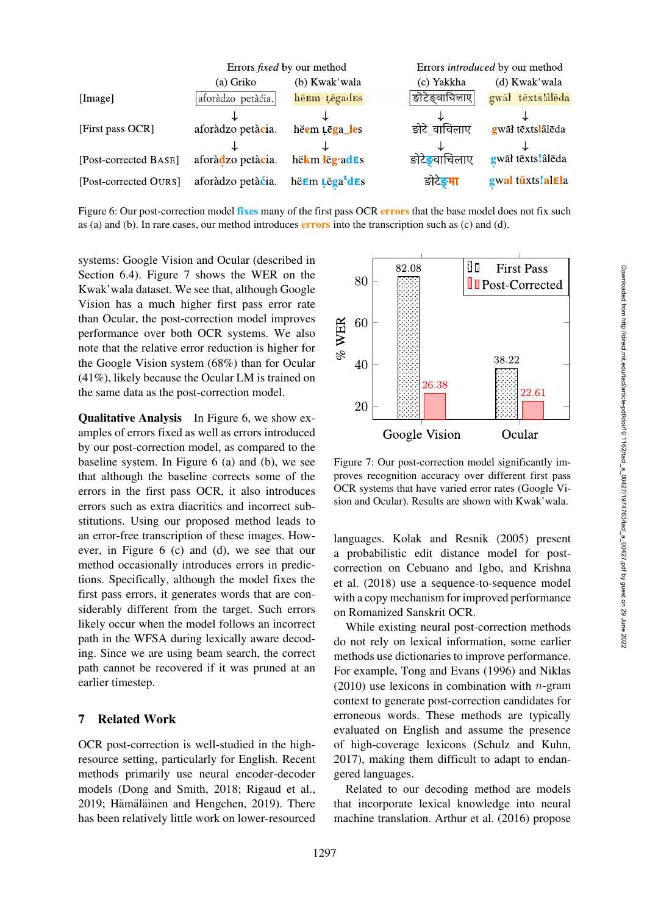|                       |                   | Errors <i>fixed</i> by our method |                             | Errors <i>introduced</i> by our method |  |  |  |
|-----------------------|-------------------|-----------------------------------|-----------------------------|----------------------------------------|--|--|--|
|                       | (a) Griko         | (b) Kwak' wala                    | (c) Yakkha                  | (d) Kwak'wala                          |  |  |  |
| [Image]               | aforàdzo petàćia. | hë Em Legades                     | ङोटेङ्वाचिलाए               | gwāl tēxts!âlēda                       |  |  |  |
|                       |                   |                                   |                             |                                        |  |  |  |
| [First pass OCR]      | aforàdzo petàcia. | hëem Lēga_les                     | ङोटे वाचिलाए                | gwāł tēxtslâlēda                       |  |  |  |
|                       |                   |                                   |                             |                                        |  |  |  |
| [Post-corrected BASE] | aforàdzo petàcia. | hëkm legades                      | ङोटे <mark>ङ</mark> वाचिलाए | gwāł tēxts!âlēda                       |  |  |  |
| [Post-corrected OURS] | aforàdzo petàcia. | hë $Em$ $Lēgaε$ d Es              | ङोटे <mark>ङमा</mark>       | gwal tüxts!alEla                       |  |  |  |

<span id="page-12-1"></span>Figure 6: Our post-correction model fixes many of the first pass OCR errors that the base model does not fix such as (a) and (b). In rare cases, our method introduces **errors** into the transcription such as (c) and (d).

systems: Google Vision and Ocular (described in [Section 6.4\)](#page-8-0). [Figure 7](#page-12-0) shows the WER on the Kwak'wala dataset. We see that, although Google Vision has a much higher first pass error rate than Ocular, the post-correction model improves performance over both OCR systems. We also note that the relative error reduction is higher for the Google Vision system (68%) than for Ocular (41%), likely because the Ocular LM is trained on the same data as the post-correction model.

Qualitative Analysis In [Figure 6,](#page-12-1) we show examples of errors fixed as well as errors introduced by our post-correction model, as compared to the baseline system. In [Figure 6](#page-12-1) (a) and (b), we see that although the baseline corrects some of the errors in the first pass OCR, it also introduces errors such as extra diacritics and incorrect substitutions. Using our proposed method leads to an error-free transcription of these images. However, in [Figure 6](#page-12-1) (c) and (d), we see that our method occasionally introduces errors in predictions. Specifically, although the model fixes the first pass errors, it generates words that are considerably different from the target. Such errors likely occur when the model follows an incorrect path in the WFSA during lexically aware decoding. Since we are using beam search, the correct path cannot be recovered if it was pruned at an earlier timestep.

# 7 Related Work

OCR post-correction is well-studied in the highresource setting, particularly for English. Recent methods primarily use neural encoder-decoder models [\(Dong and Smith](#page-14-0), [2018;](#page-14-0) [Rigaud et al.,](#page-16-2) [2019;](#page-16-2) Hämäläinen and Hengchen, [2019\)](#page-14-12). There has been relatively little work on lower-resourced



<span id="page-12-0"></span>Figure 7: Our post-correction model significantly improves recognition accuracy over different first pass OCR systems that have varied error rates (Google Vision and Ocular). Results are shown with Kwak'wala.

languages. [Kolak and Resnik](#page-15-9) [\(2005\)](#page-15-9) present a probabilistic edit distance model for postcorre[ction on Cebuano and Igbo, and](#page-15-10) Krishna et al. [\(2018](#page-15-10)) use a sequence-to-sequence model with a copy mechanism for improved performance on Romanized Sanskrit OCR.

While existing neural post-correction methods do not rely on lexical information, some earlier methods use dictionaries to improve performance. For example, [Tong and Evans](#page-16-11) [\(1996\)](#page-16-11) and [Niklas](#page-15-11)  $(2010)$  use lexicons in combination with *n*-gram context to generate post-correction candidates for erroneous words. These methods are typically evaluated on English and assume the presence of high-coverage lexicons [\(Schulz and Kuhn,](#page-16-10) [2017](#page-16-10)), making them difficult to adapt to endangered languages.

Related to our decoding method are models that incorporate lexical knowledge into neural machine translation. [Arthur et al.](#page-13-2) [\(2016\)](#page-13-2) propose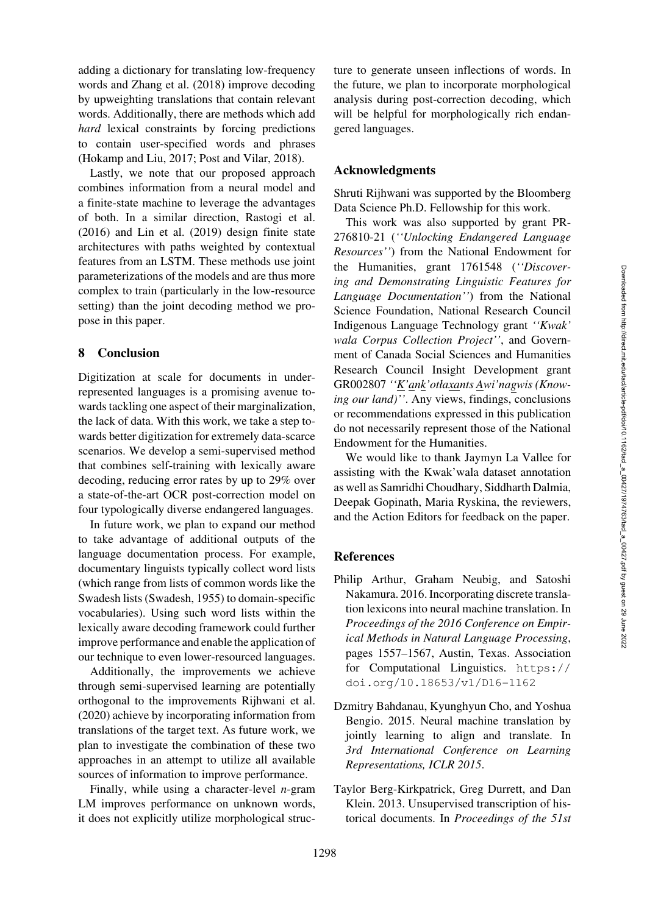adding a dictionary for translating low-frequency words and [Zhang et al.](#page-17-2) [\(2018](#page-17-2)) improve decoding by upweighting translations that contain relevant words. Additionally, there are methods which add *hard* lexical constraints by forcing predictions to contain user-specified words and phrases [\(Hokamp and Liu](#page-14-13), [2017;](#page-14-13) [Post and Vilar](#page-15-12), [2018\)](#page-15-12).

Lastly, we note that our proposed approach combines information from a neural model and a finite-state machine to leverage the advantages of both. In a similar direction, [Rastogi et al.](#page-16-12) [\(2016\)](#page-16-12) and [Lin et al.](#page-15-13) [\(2019](#page-15-13)) design finite state architectures with paths weighted by contextual features from an LSTM. These methods use joint parameterizations of the models and are thus more complex to train (particularly in the low-resource setting) than the joint decoding method we propose in this paper.

### 8 Conclusion

Digitization at scale for documents in underrepresented languages is a promising avenue towards tackling one aspect of their marginalization, the lack of data. With this work, we take a step towards better digitization for extremely data-scarce scenarios. We develop a semi-supervised method that combines self-training with lexically aware decoding, reducing error rates by up to 29% over a state-of-the-art OCR post-correction model on four typologically diverse endangered languages.

In future work, we plan to expand our method to take advantage of additional outputs of the language documentation process. For example, documentary linguists typically collect word lists (which range from lists of common words like the Swadesh lists [\(Swadesh, 1955\)](#page-16-13) to domain-specific vocabularies). Using such word lists within the lexically aware decoding framework could further improve performance and enable the application of our technique to even lower-resourced languages.

Additionally, the improvements we achieve through semi-supervised learning are potentially orthogonal to the improvements [Rijhwani et al.](#page-16-0) [\(2020\)](#page-16-0) achieve by incorporating information from translations of the target text. As future work, we plan to investigate the combination of these two approaches in an attempt to utilize all available sources of information to improve performance.

Finally, while using a character-level *n*-gram LM improves performance on unknown words, it does not explicitly utilize morphological structure to generate unseen inflections of words. In the future, we plan to incorporate morphological analysis during post-correction decoding, which will be helpful for morphologically rich endangered languages.

#### Acknowledgments

Shruti Rijhwani was supported by the Bloomberg Data Science Ph.D. Fellowship for this work.

This work was also supported by grant PR-276810-21 (*''Unlocking Endangered Language Resources''*) from the National Endowment for the Humanities, grant 1761548 (*''Discovering and Demonstrating Linguistic Features for Language Documentation''*) from the National Science Foundation, National Research Council Indigenous Language Technology grant *''Kwak' wala Corpus Collection Project''*, and Government of Canada Social Sciences and Humanities Research Council Insight Development grant GR002807 *''K'ank'otłaxants Awi'nagwis (Knowing our land)''*. Any views, findings, conclusions or recommendations expressed in this publication do not necessarily represent those of the National Endowment for the Humanities.

We would like to thank Jaymyn La Vallee for assisting with the Kwak'wala dataset annotation as well as Samridhi Choudhary, Siddharth Dalmia, Deepak Gopinath, Maria Ryskina, the reviewers, and the Action Editors for feedback on the paper.

#### **References**

- <span id="page-13-2"></span>Philip Arthur, Graham Neubig, and Satoshi Nakamura. 2016. Incorporating discrete translation lexicons into neural machine translation. In *Proceedings of the 2016 Conference on Empirical Methods in Natural Language Processing*, pages 1557–1567, Austin, Texas. Association for Computational Linguistics. [https://](https://doi.org/10.18653/v1/D16-1162) [doi.org/10.18653/v1/D16-1162](https://doi.org/10.18653/v1/D16-1162)
- <span id="page-13-0"></span>Dzmitry Bahdanau, Kyunghyun Cho, and Yoshua Bengio. 2015. Neural machine translation by jointly learning to align and translate. In *3rd International Conference on Learning Representations, ICLR 2015*.
- <span id="page-13-1"></span>Taylor Berg-Kirkpatrick, Greg Durrett, and Dan Klein. 2013. Unsupervised transcription of historical documents. In *Proceedings of the 51st*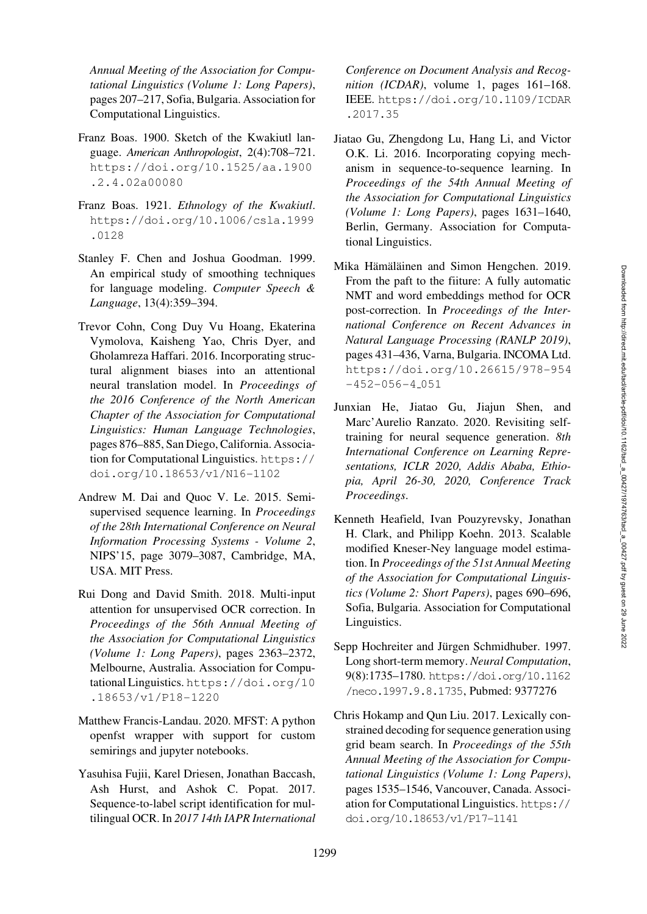*Annual Meeting of the Association for Computational Linguistics (Volume 1: Long Papers)*, pages 207–217, Sofia, Bulgaria. Association for Computational Linguistics.

- <span id="page-14-8"></span>Franz Boas. 1900. Sketch of the Kwakiutl language. *American Anthropologist*, 2(4):708–721. [https://doi.org/10.1525/aa.1900](https://doi.org/10.1525/aa.1900.2.4.02a00080) [.2.4.02a00080](https://doi.org/10.1525/aa.1900.2.4.02a00080)
- <span id="page-14-9"></span>Franz Boas. 1921. *Ethnology of the Kwakiutl*. [https://doi.org/10.1006/csla.1999](https://doi.org/10.1006/csla.1999.0128) [.0128](https://doi.org/10.1006/csla.1999.0128)
- <span id="page-14-6"></span>Stanley F. Chen and Joshua Goodman. 1999. An empirical study of smoothing techniques for language modeling. *Computer Speech & Language*, 13(4):359–394.
- <span id="page-14-2"></span>Trevor Cohn, Cong Duy Vu Hoang, Ekaterina Vymolova, Kaisheng Yao, Chris Dyer, and Gholamreza Haffari. 2016. Incorporating structural alignment biases into an attentional neural translation model. In *Proceedings of the 2016 Conference of the North American Chapter of the Association for Computational Linguistics: Human Language Technologies*, pages 876–885, San Diego, California. Association for Computational Linguistics. [https://](https://doi.org/10.18653/v1/N16-1102) [doi.org/10.18653/v1/N16-1102](https://doi.org/10.18653/v1/N16-1102)
- <span id="page-14-5"></span>Andrew M. Dai and Quoc V. Le. 2015. Semisupervised sequence learning. In *Proceedings of the 28th International Conference on Neural Information Processing Systems - Volume 2*, NIPS'15, page 3079–3087, Cambridge, MA, USA. MIT Press.
- <span id="page-14-0"></span>Rui Dong and David Smith. 2018. Multi-input attention for unsupervised OCR correction. In *Proceedings of the 56th Annual Meeting of the Association for Computational Linguistics (Volume 1: Long Papers)*, pages 2363–2372, Melbourne, Australia. Association for Computational Linguistics. [https://doi.org/10](https://doi.org/10.18653/v1/P18-1220) [.18653/v1/P18-1220](https://doi.org/10.18653/v1/P18-1220)
- <span id="page-14-11"></span>Matthew Francis-Landau. 2020. MFST: A python openfst wrapper with support for custom semirings and jupyter notebooks.
- <span id="page-14-10"></span>Yasuhisa Fujii, Karel Driesen, Jonathan Baccash, Ash Hurst, and Ashok C. Popat. 2017. Sequence-to-label script identification for multilingual OCR. In *2017 14th IAPR International*

*Conference on Document Analysis and Recognition (ICDAR)*, volume 1, pages 161–168. IEEE. [https://doi.org/10.1109/ICDAR](https://doi.org/10.1109/ICDAR.2017.35) [.2017.35](https://doi.org/10.1109/ICDAR.2017.35)

- <span id="page-14-3"></span>Jiatao Gu, Zhengdong Lu, Hang Li, and Victor O.K. Li. 2016. Incorporating copying mechanism in sequence-to-sequence learning. In *Proceedings of the 54th Annual Meeting of the Association for Computational Linguistics (Volume 1: Long Papers)*, pages 1631–1640, Berlin, Germany. Association for Computational Linguistics.
- <span id="page-14-12"></span>Mika Hämäläinen and Simon Hengchen. 2019. From the paft to the fiiture: A fully automatic NMT and word embeddings method for OCR post-correction. In *Proceedings of the International Conference on Recent Advances in Natural Language Processing (RANLP 2019)*, pages 431–436, Varna, Bulgaria. INCOMA Ltd. [https://doi.org/10.26615/978-954](https://doi.org/10.26615/978-954-452-056-4_051)  $-452-056-4.051$  $-452-056-4.051$
- <span id="page-14-4"></span>Junxian He, Jiatao Gu, Jiajun Shen, and Marc'Aurelio Ranzato. 2020. Revisiting selftraining for neural sequence generation. *8th International Conference on Learning Representations, ICLR 2020, Addis Ababa, Ethiopia, April 26-30, 2020, Conference Track Proceedings*.
- <span id="page-14-7"></span>Kenneth Heafield, Ivan Pouzyrevsky, Jonathan H. Clark, and Philipp Koehn. 2013. Scalable modified Kneser-Ney language model estimation. In *Proceedings of the 51st Annual Meeting of the Association for Computational Linguistics (Volume 2: Short Papers)*, pages 690–696, Sofia, Bulgaria. Association for Computational Linguistics.
- <span id="page-14-1"></span>Sepp Hochreiter and Jürgen Schmidhuber. 1997. Long short-term memory. *Neural Computation*, 9(8):1735–1780. [https://doi.org/10.1162](https://doi.org/10.1162/neco.1997.9.8.1735) [/neco.1997.9.8.1735](https://doi.org/10.1162/neco.1997.9.8.1735), Pubmed: [9377276](https://pubmed.ncbi.nlm.nih.gov/9377276)
- <span id="page-14-13"></span>Chris Hokamp and Qun Liu. 2017. Lexically constrained decoding for sequence generation using grid beam search. In *Proceedings of the 55th Annual Meeting of the Association for Computational Linguistics (Volume 1: Long Papers)*, pages 1535–1546, Vancouver, Canada. Association for Computational Linguistics. [https://](https://doi.org/10.18653/v1/P17-1141) [doi.org/10.18653/v1/P17-1141](https://doi.org/10.18653/v1/P17-1141)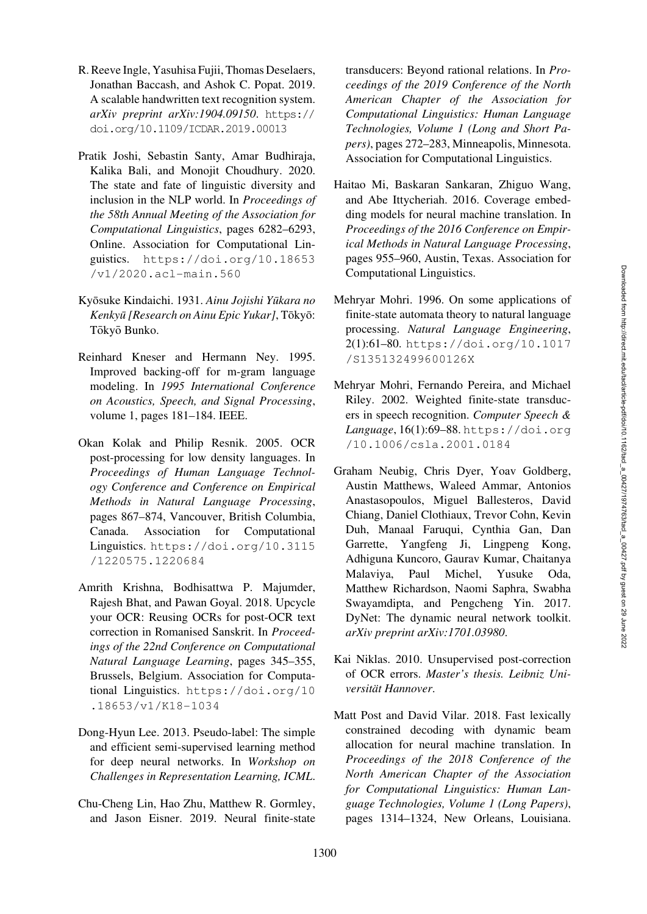- <span id="page-15-8"></span>R. Reeve Ingle, Yasuhisa Fujii, Thomas Deselaers, Jonathan Baccash, and Ashok C. Popat. 2019. A scalable handwritten text recognition system. *arXiv preprint arXiv:1904.09150*. [https://](https://doi.org/10.1109/ICDAR.2019.00013) [doi.org/10.1109/ICDAR.2019.00013](https://doi.org/10.1109/ICDAR.2019.00013)
- <span id="page-15-0"></span>Pratik Joshi, Sebastin Santy, Amar Budhiraja, Kalika Bali, and Monojit Choudhury. 2020. The state and fate of linguistic diversity and inclusion in the NLP world. In *Proceedings of the 58th Annual Meeting of the Association for Computational Linguistics*, pages 6282–6293, Online. Association for Computational Linguistics. [https://doi.org/10.18653](https://doi.org/10.18653/v1/2020.acl-main.560) [/v1/2020.acl-main.560](https://doi.org/10.18653/v1/2020.acl-main.560)
- <span id="page-15-6"></span>Kyōsuke Kindaichi. 1931. Ainu Jojishi Yūkara no *Kenkyū [Research on Ainu Epic Yukar]*, Tōkyō: Tōkyō Bunko.
- <span id="page-15-3"></span>Reinhard Kneser and Hermann Ney. 1995. Improved backing-off for m-gram language modeling. In *1995 International Conference on Acoustics, Speech, and Signal Processing*, volume 1, pages 181–184. IEEE.
- <span id="page-15-9"></span>Okan Kolak and Philip Resnik. 2005. OCR post-processing for low density languages. In *Proceedings of Human Language Technology Conference and Conference on Empirical Methods in Natural Language Processing*, pages 867–874, Vancouver, British Columbia, Canada. Association for Computational Linguistics. [https://doi.org/10.3115](https://doi.org/10.3115/1220575.1220684) [/1220575.1220684](https://doi.org/10.3115/1220575.1220684)
- <span id="page-15-10"></span>Amrith Krishna, Bodhisattwa P. Majumder, Rajesh Bhat, and Pawan Goyal. 2018. Upcycle your OCR: Reusing OCRs for post-OCR text correction in Romanised Sanskrit. In *Proceedings of the 22nd Conference on Computational Natural Language Learning*, pages 345–355, Brussels, Belgium. Association for Computational Linguistics. [https://doi.org/10](https://doi.org/10.18653/v1/K18-1034) [.18653/v1/K18-1034](https://doi.org/10.18653/v1/K18-1034)
- <span id="page-15-2"></span>Dong-Hyun Lee. 2013. Pseudo-label: The simple and efficient semi-supervised learning method for deep neural networks. In *Workshop on Challenges in Representation Learning, ICML*.
- <span id="page-15-13"></span>Chu-Cheng Lin, Hao Zhu, Matthew R. Gormley, and Jason Eisner. 2019. Neural finite-state

transducers: Beyond rational relations. In *Proceedings of the 2019 Conference of the North American Chapter of the Association for Computational Linguistics: Human Language Technologies, Volume 1 (Long and Short Papers)*, pages 272–283, Minneapolis, Minnesota. Association for Computational Linguistics.

- <span id="page-15-1"></span>Haitao Mi, Baskaran Sankaran, Zhiguo Wang, and Abe Ittycheriah. 2016. Coverage embedding models for neural machine translation. In *Proceedings of the 2016 Conference on Empirical Methods in Natural Language Processing*, pages 955–960, Austin, Texas. Association for Computational Linguistics.
- <span id="page-15-5"></span>Mehryar Mohri. 1996. On some applications of finite-state automata theory to natural language processing. *Natural Language Engineering*, 2(1):61–80. [https://doi.org/10.1017](https://doi.org/10.1017/S135132499600126X) [/S135132499600126X](https://doi.org/10.1017/S135132499600126X)
- <span id="page-15-4"></span>Mehryar Mohri, Fernando Pereira, and Michael Riley. 2002. Weighted finite-state transducers in speech recognition. *Computer Speech & Language*, 16(1):69–88. [https://doi.org](https://doi.org/10.1006/csla.2001.0184) [/10.1006/csla.2001.0184](https://doi.org/10.1006/csla.2001.0184)
- <span id="page-15-7"></span>Graham Neubig, Chris Dyer, Yoav Goldberg, Austin Matthews, Waleed Ammar, Antonios Anastasopoulos, Miguel Ballesteros, David Chiang, Daniel Clothiaux, Trevor Cohn, Kevin Duh, Manaal Faruqui, Cynthia Gan, Dan Garrette, Yangfeng Ji, Lingpeng Kong, Adhiguna Kuncoro, Gaurav Kumar, Chaitanya Malaviya, Paul Michel, Yusuke Oda, Matthew Richardson, Naomi Saphra, Swabha Swayamdipta, and Pengcheng Yin. 2017. DyNet: The dynamic neural network toolkit. *arXiv preprint arXiv:1701.03980*.
- <span id="page-15-11"></span>Kai Niklas. 2010. Unsupervised post-correction of OCR errors. *Master's thesis. Leibniz Uni-* $\emph{versität Hannover.}$
- <span id="page-15-12"></span>Matt Post and David Vilar. 2018. Fast lexically constrained decoding with dynamic beam allocation for neural machine translation. In *Proceedings of the 2018 Conference of the North American Chapter of the Association for Computational Linguistics: Human Language Technologies, Volume 1 (Long Papers)*, pages 1314–1324, New Orleans, Louisiana.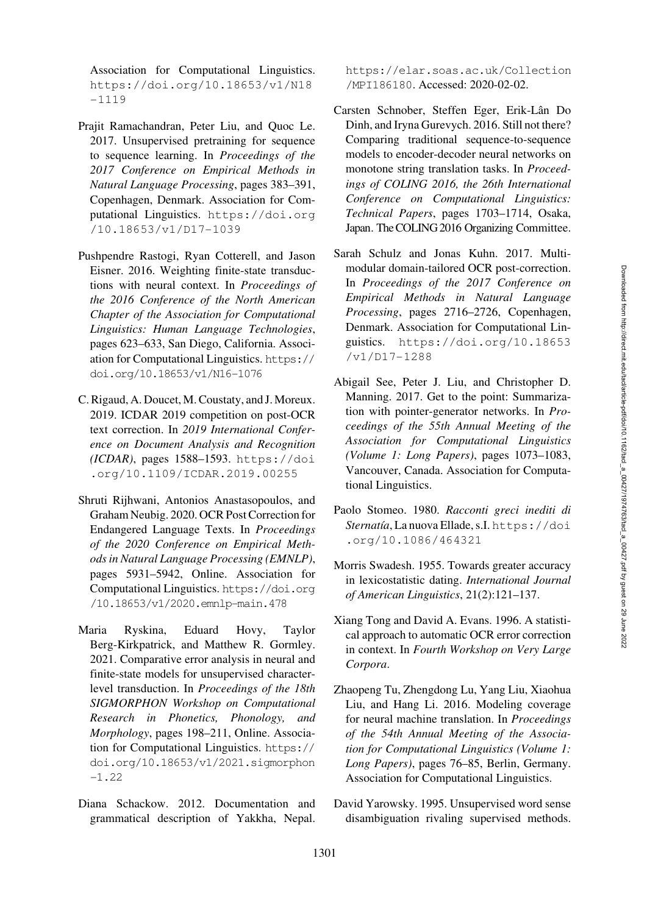Association for Computational Linguistics. [https://doi.org/10.18653/v1/N18](https://doi.org/10.18653/v1/N18-1119) [-1119](https://doi.org/10.18653/v1/N18-1119)

- <span id="page-16-5"></span>Prajit Ramachandran, Peter Liu, and Quoc Le. 2017. Unsupervised pretraining for sequence to sequence learning. In *Proceedings of the 2017 Conference on Empirical Methods in Natural Language Processing*, pages 383–391, Copenhagen, Denmark. Association for Computational Linguistics. [https://doi.org](https://doi.org/10.18653/v1/D17-1039) [/10.18653/v1/D17-1039](https://doi.org/10.18653/v1/D17-1039)
- <span id="page-16-12"></span>Pushpendre Rastogi, Ryan Cotterell, and Jason Eisner. 2016. Weighting finite-state transductions with neural context. In *Proceedings of the 2016 Conference of the North American Chapter of the Association for Computational Linguistics: Human Language Technologies*, pages 623–633, San Diego, California. Association for Computational Linguistics. [https://](https://doi.org/10.18653/v1/N16-1076) [doi.org/10.18653/v1/N16-1076](https://doi.org/10.18653/v1/N16-1076)
- <span id="page-16-2"></span>C. Rigaud, A. Doucet, M. Coustaty, and J. Moreux. 2019. ICDAR 2019 competition on post-OCR text correction. In *2019 International Conference on Document Analysis and Recognition (ICDAR)*, pages 1588–1593. [https://doi](https://doi.org/10.1109/ICDAR.2019.00255) [.org/10.1109/ICDAR.2019.00255](https://doi.org/10.1109/ICDAR.2019.00255)
- <span id="page-16-0"></span>Shruti Rijhwani, Antonios Anastasopoulos, and Graham Neubig. 2020. OCR Post Correction for Endangered Language Texts. In *Proceedings of the 2020 Conference on Empirical Methods in Natural Language Processing (EMNLP)*, pages 5931–5942, Online. Association for Computational Linguistics. [https://doi.org](https://doi.org/10.18653/v1/2020.emnlp-main.478) [/10.18653/v1/2020.emnlp-main.478](https://doi.org/10.18653/v1/2020.emnlp-main.478)
- <span id="page-16-9"></span>Maria Ryskina, Eduard Hovy, Taylor Berg-Kirkpatrick, and Matthew R. Gormley. 2021. Comparative error analysis in neural and finite-state models for unsupervised characterlevel transduction. In *Proceedings of the 18th SIGMORPHON Workshop on Computational Research in Phonetics, Phonology, and Morphology*, pages 198–211, Online. Association for Computational Linguistics. [https://](https://doi.org/10.18653/v1/2021.sigmorphon-1.22) [doi.org/10.18653/v1/2021.sigmorphon](https://doi.org/10.18653/v1/2021.sigmorphon-1.22) [-1.22](https://doi.org/10.18653/v1/2021.sigmorphon-1.22)
- <span id="page-16-8"></span>Diana Schackow. 2012. Documentation and grammatical description of Yakkha, Nepal.

[https://elar.soas.ac.uk/Collection](https://elar.soas.ac.uk/Collection/MPI186180) [/MPI186180](https://elar.soas.ac.uk/Collection/MPI186180). Accessed: 2020-02-02.

- <span id="page-16-1"></span>Carsten Schnober, Steffen Eger, Erik-Lân Do Dinh, and Iryna Gurevych. 2016. Still not there? Comparing traditional sequence-to-sequence models to encoder-decoder neural networks on monotone string translation tasks. In *Proceedings of COLING 2016, the 26th International Conference on Computational Linguistics: Technical Papers*, pages 1703–1714, Osaka, Japan. The COLING 2016 Organizing Committee.
- <span id="page-16-10"></span>Sarah Schulz and Jonas Kuhn. 2017. Multimodular domain-tailored OCR post-correction. In *Proceedings of the 2017 Conference on Empirical Methods in Natural Language Processing*, pages 2716–2726, Copenhagen, Denmark. Association for Computational Linguistics. [https://doi.org/10.18653](https://doi.org/10.18653/v1/D17-1288) [/v1/D17-1288](https://doi.org/10.18653/v1/D17-1288)
- <span id="page-16-3"></span>Abigail See, Peter J. Liu, and Christopher D. Manning. 2017. Get to the point: Summarization with pointer-generator networks. In *Proceedings of the 55th Annual Meeting of the Association for Computational Linguistics (Volume 1: Long Papers)*, pages 1073–1083, Vancouver, Canada. Association for Computational Linguistics.
- <span id="page-16-7"></span>Paolo Stomeo. 1980. *Racconti greci inediti di* Sternatía, La nuova Ellade, s.I. [https://doi](https://doi.org/10.1086/464321) [.org/10.1086/464321](https://doi.org/10.1086/464321)
- <span id="page-16-13"></span>Morris Swadesh. 1955. Towards greater accuracy in lexicostatistic dating. *International Journal of American Linguistics*, 21(2):121–137.
- <span id="page-16-11"></span>Xiang Tong and David A. Evans. 1996. A statistical approach to automatic OCR error correction in context. In *Fourth Workshop on Very Large Corpora*.
- <span id="page-16-4"></span>Zhaopeng Tu, Zhengdong Lu, Yang Liu, Xiaohua Liu, and Hang Li. 2016. Modeling coverage for neural machine translation. In *Proceedings of the 54th Annual Meeting of the Association for Computational Linguistics (Volume 1: Long Papers)*, pages 76–85, Berlin, Germany. Association for Computational Linguistics.
- <span id="page-16-6"></span>David Yarowsky. 1995. Unsupervised word sense disambiguation rivaling supervised methods.